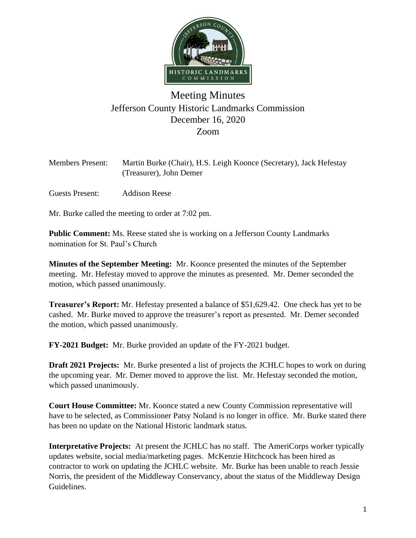

## Meeting Minutes Jefferson County Historic Landmarks Commission December 16, 2020 Zoom

| <b>Members Present:</b> | Martin Burke (Chair), H.S. Leigh Koonce (Secretary), Jack Hefestay |
|-------------------------|--------------------------------------------------------------------|
|                         | (Treasurer), John Demer                                            |
|                         |                                                                    |

Guests Present: Addison Reese

Mr. Burke called the meeting to order at 7:02 pm.

**Public Comment:** Ms. Reese stated she is working on a Jefferson County Landmarks nomination for St. Paul's Church

**Minutes of the September Meeting:** Mr. Koonce presented the minutes of the September meeting. Mr. Hefestay moved to approve the minutes as presented. Mr. Demer seconded the motion, which passed unanimously.

**Treasurer's Report:** Mr. Hefestay presented a balance of \$51,629.42. One check has yet to be cashed. Mr. Burke moved to approve the treasurer's report as presented. Mr. Demer seconded the motion, which passed unanimously.

**FY-2021 Budget:** Mr. Burke provided an update of the FY-2021 budget.

**Draft 2021 Projects:** Mr. Burke presented a list of projects the JCHLC hopes to work on during the upcoming year. Mr. Demer moved to approve the list. Mr. Hefestay seconded the motion, which passed unanimously.

**Court House Committee:** Mr. Koonce stated a new County Commission representative will have to be selected, as Commissioner Patsy Noland is no longer in office. Mr. Burke stated there has been no update on the National Historic landmark status.

**Interpretative Projects:** At present the JCHLC has no staff. The AmeriCorps worker typically updates website, social media/marketing pages. McKenzie Hitchcock has been hired as contractor to work on updating the JCHLC website. Mr. Burke has been unable to reach Jessie Norris, the president of the Middleway Conservancy, about the status of the Middleway Design Guidelines.